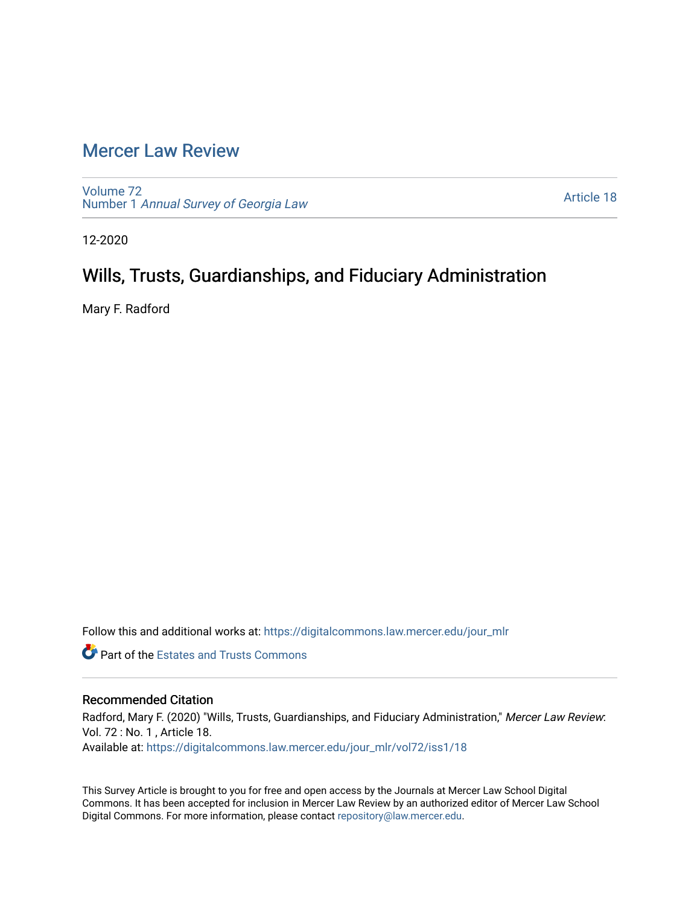# [Mercer Law Review](https://digitalcommons.law.mercer.edu/jour_mlr)

[Volume 72](https://digitalcommons.law.mercer.edu/jour_mlr/vol72) Number 1 [Annual Survey of Georgia Law](https://digitalcommons.law.mercer.edu/jour_mlr/vol72/iss1) 

[Article 18](https://digitalcommons.law.mercer.edu/jour_mlr/vol72/iss1/18) 

12-2020

## Wills, Trusts, Guardianships, and Fiduciary Administration

Mary F. Radford

Follow this and additional works at: [https://digitalcommons.law.mercer.edu/jour\\_mlr](https://digitalcommons.law.mercer.edu/jour_mlr?utm_source=digitalcommons.law.mercer.edu%2Fjour_mlr%2Fvol72%2Fiss1%2F18&utm_medium=PDF&utm_campaign=PDFCoverPages)

**Part of the Estates and Trusts Commons** 

## Recommended Citation

Radford, Mary F. (2020) "Wills, Trusts, Guardianships, and Fiduciary Administration," Mercer Law Review: Vol. 72 : No. 1 , Article 18. Available at: [https://digitalcommons.law.mercer.edu/jour\\_mlr/vol72/iss1/18](https://digitalcommons.law.mercer.edu/jour_mlr/vol72/iss1/18?utm_source=digitalcommons.law.mercer.edu%2Fjour_mlr%2Fvol72%2Fiss1%2F18&utm_medium=PDF&utm_campaign=PDFCoverPages) 

This Survey Article is brought to you for free and open access by the Journals at Mercer Law School Digital Commons. It has been accepted for inclusion in Mercer Law Review by an authorized editor of Mercer Law School Digital Commons. For more information, please contact [repository@law.mercer.edu](mailto:repository@law.mercer.edu).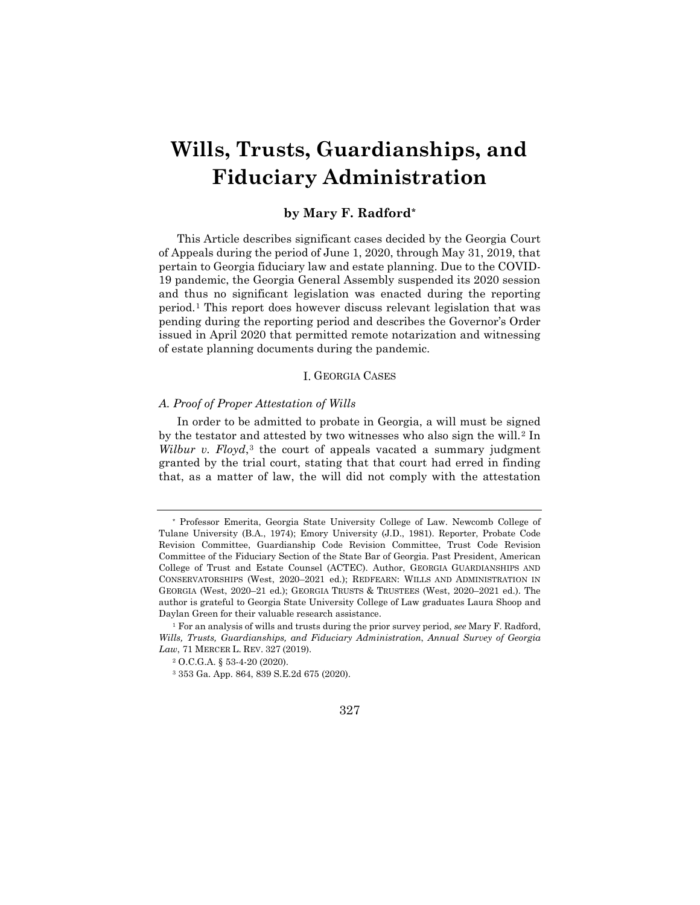# **Wills, Trusts, Guardianships, and Fiduciary Administration**

## **by Mary F. Radford[\\*](#page-1-0)**

This Article describes significant cases decided by the Georgia Court of Appeals during the period of June 1, 2020, through May 31, 2019, that pertain to Georgia fiduciary law and estate planning. Due to the COVID-19 pandemic, the Georgia General Assembly suspended its 2020 session and thus no significant legislation was enacted during the reporting period.[1](#page-1-1) This report does however discuss relevant legislation that was pending during the reporting period and describes the Governor's Order issued in April 2020 that permitted remote notarization and witnessing of estate planning documents during the pandemic.

#### I. GEORGIA CASES

#### *A. Proof of Proper Attestation of Wills*

In order to be admitted to probate in Georgia, a will must be signed by the testator and attested by two witnesses who also sign the will.<sup>[2](#page-1-2)</sup> In *Wilbur v. Floyd*,<sup>[3](#page-1-3)</sup> the court of appeals vacated a summary judgment granted by the trial court, stating that that court had erred in finding that, as a matter of law, the will did not comply with the attestation

<span id="page-1-0"></span><sup>\*</sup> Professor Emerita, Georgia State University College of Law. Newcomb College of Tulane University (B.A., 1974); Emory University (J.D., 1981). Reporter, Probate Code Revision Committee, Guardianship Code Revision Committee, Trust Code Revision Committee of the Fiduciary Section of the State Bar of Georgia. Past President, American College of Trust and Estate Counsel (ACTEC). Author, GEORGIA GUARDIANSHIPS AND CONSERVATORSHIPS (West, 2020–2021 ed.); REDFEARN: WILLS AND ADMINISTRATION IN GEORGIA (West, 2020–21 ed.); GEORGIA TRUSTS & TRUSTEES (West, 2020–2021 ed.). The author is grateful to Georgia State University College of Law graduates Laura Shoop and Daylan Green for their valuable research assistance.

<span id="page-1-3"></span><span id="page-1-2"></span><span id="page-1-1"></span><sup>1</sup> For an analysis of wills and trusts during the prior survey period, *see* Mary F. Radford, *Wills, Trusts, Guardianships, and Fiduciary Administration*, *Annual Survey of Georgia Law*, 71 MERCER L. REV. 327 (2019).

 $^2$  O.C.G.A. § 53-4-20 (2020).

<sup>3</sup> 353 Ga. App. 864, 839 S.E.2d 675 (2020).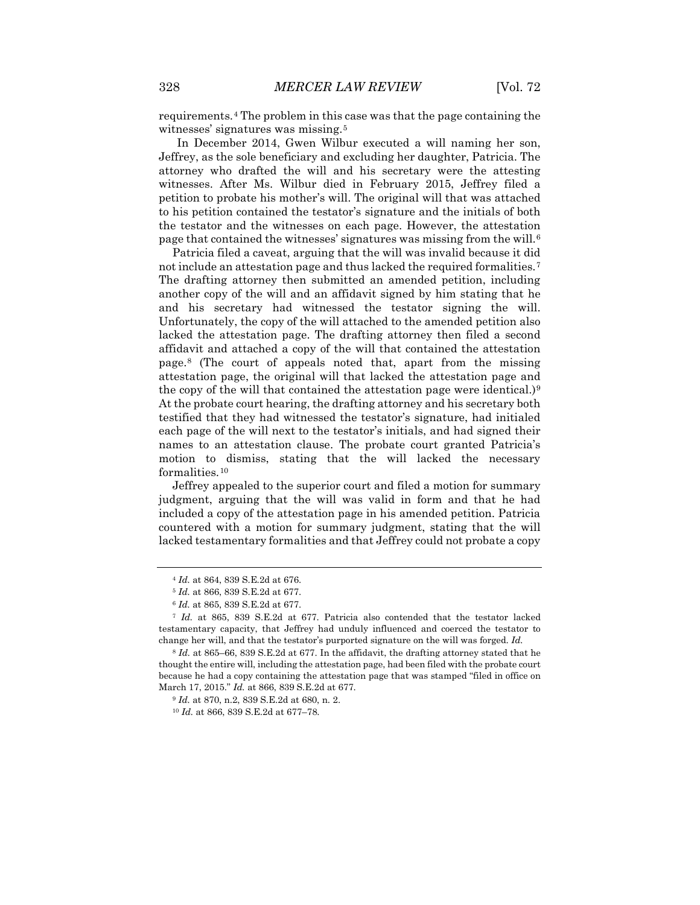requirements.[4](#page-2-0) The problem in this case was that the page containing the witnesses' signatures was missing.<sup>[5](#page-2-1)</sup>

In December 2014, Gwen Wilbur executed a will naming her son, Jeffrey, as the sole beneficiary and excluding her daughter, Patricia. The attorney who drafted the will and his secretary were the attesting witnesses. After Ms. Wilbur died in February 2015, Jeffrey filed a petition to probate his mother's will. The original will that was attached to his petition contained the testator's signature and the initials of both the testator and the witnesses on each page. However, the attestation page that contained the witnesses' signatures was missing from the will.[6](#page-2-2)

Patricia filed a caveat, arguing that the will was invalid because it did not include an attestation page and thus lacked the required formalities.[7](#page-2-3) The drafting attorney then submitted an amended petition, including another copy of the will and an affidavit signed by him stating that he and his secretary had witnessed the testator signing the will. Unfortunately, the copy of the will attached to the amended petition also lacked the attestation page. The drafting attorney then filed a second affidavit and attached a copy of the will that contained the attestation page.[8](#page-2-4) (The court of appeals noted that, apart from the missing attestation page, the original will that lacked the attestation page and the copy of the will that contained the attestation page were identical.)<sup>[9](#page-2-5)</sup> At the probate court hearing, the drafting attorney and his secretary both testified that they had witnessed the testator's signature, had initialed each page of the will next to the testator's initials, and had signed their names to an attestation clause. The probate court granted Patricia's motion to dismiss, stating that the will lacked the necessary formalities.[10](#page-2-6)

Jeffrey appealed to the superior court and filed a motion for summary judgment, arguing that the will was valid in form and that he had included a copy of the attestation page in his amended petition. Patricia countered with a motion for summary judgment, stating that the will lacked testamentary formalities and that Jeffrey could not probate a copy

<sup>4</sup> *Id.* at 864, 839 S.E.2d at 676.

<sup>5</sup> *Id.* at 866, 839 S.E.2d at 677.

<sup>6</sup> *Id.* at 865, 839 S.E.2d at 677.

<span id="page-2-3"></span><span id="page-2-2"></span><span id="page-2-1"></span><span id="page-2-0"></span><sup>7</sup> *Id.* at 865, 839 S.E.2d at 677. Patricia also contended that the testator lacked testamentary capacity, that Jeffrey had unduly influenced and coerced the testator to change her will, and that the testator's purported signature on the will was forged. *Id.*

<span id="page-2-6"></span><span id="page-2-5"></span><span id="page-2-4"></span><sup>8</sup> *Id.* at 865–66, 839 S.E.2d at 677. In the affidavit, the drafting attorney stated that he thought the entire will, including the attestation page, had been filed with the probate court because he had a copy containing the attestation page that was stamped "filed in office on March 17, 2015." *Id.* at 866, 839 S.E.2d at 677.

<sup>9</sup> *Id.* at 870, n.2, 839 S.E.2d at 680, n. 2.

<sup>10</sup> *Id.* at 866, 839 S.E.2d at 677–78.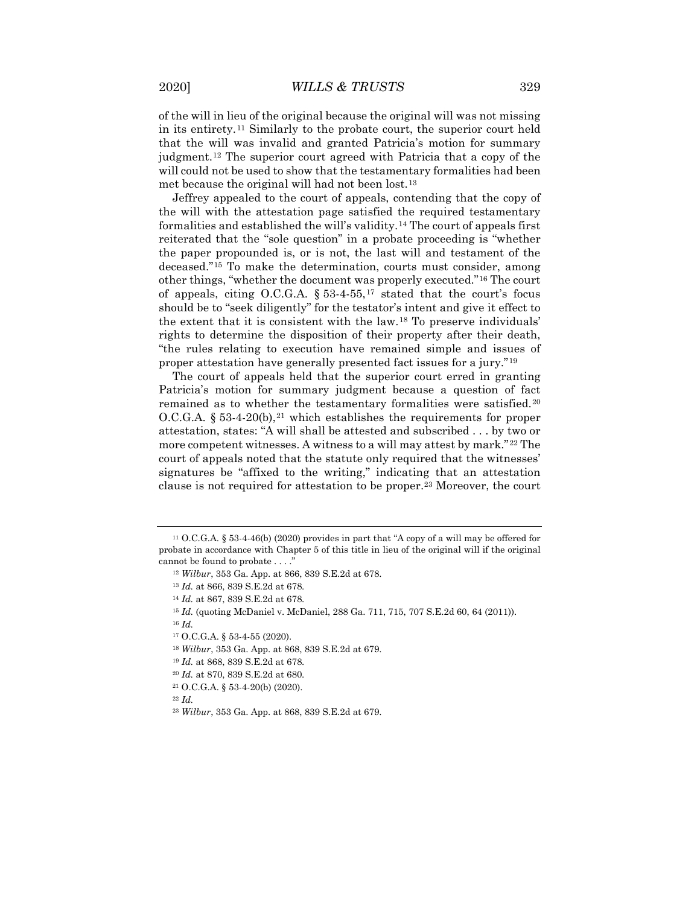of the will in lieu of the original because the original will was not missing in its entirety.[11](#page-3-0) Similarly to the probate court, the superior court held that the will was invalid and granted Patricia's motion for summary judgment.[12](#page-3-1) The superior court agreed with Patricia that a copy of the will could not be used to show that the testamentary formalities had been met because the original will had not been lost.[13](#page-3-2)

Jeffrey appealed to the court of appeals, contending that the copy of the will with the attestation page satisfied the required testamentary formalities and established the will's validity.[14](#page-3-3) The court of appeals first reiterated that the "sole question" in a probate proceeding is "whether the paper propounded is, or is not, the last will and testament of the deceased."[15](#page-3-4) To make the determination, courts must consider, among other things, "whether the document was properly executed."[16](#page-3-5) The court of appeals, citing O.C.G.A.  $\S 53-4-55$ ,<sup>[17](#page-3-6)</sup> stated that the court's focus should be to "seek diligently" for the testator's intent and give it effect to the extent that it is consistent with the law.[18](#page-3-7) To preserve individuals' rights to determine the disposition of their property after their death, "the rules relating to execution have remained simple and issues of proper attestation have generally presented fact issues for a jury."[19](#page-3-8)

The court of appeals held that the superior court erred in granting Patricia's motion for summary judgment because a question of fact remained as to whether the testamentary formalities were satisfied.[20](#page-3-9) O.C.G.A.  $\S 53-4-20(b),$ <sup>[21](#page-3-10)</sup> which establishes the requirements for proper attestation, states: "A will shall be attested and subscribed . . . by two or more competent witnesses. A witness to a will may attest by mark."[22](#page-3-11) The court of appeals noted that the statute only required that the witnesses' signatures be "affixed to the writing," indicating that an attestation clause is not required for attestation to be proper.[23](#page-3-12) Moreover, the court

<sup>21</sup> O.C.G.A. § 53-4-20(b) (2020).

<span id="page-3-12"></span><span id="page-3-11"></span><span id="page-3-10"></span><sup>22</sup> *Id.*

<span id="page-3-3"></span><span id="page-3-2"></span><span id="page-3-1"></span><span id="page-3-0"></span><sup>11</sup> O.C.G.A. § 53-4-46(b) (2020) provides in part that "A copy of a will may be offered for probate in accordance with Chapter 5 of this title in lieu of the original will if the original cannot be found to probate . . . ."

<sup>12</sup> *Wilbur*, 353 Ga. App. at 866, 839 S.E.2d at 678.

<sup>13</sup> *Id.* at 866, 839 S.E.2d at 678.

<sup>14</sup> *Id.* at 867, 839 S.E.2d at 678.

<sup>15</sup> *Id.* (quoting McDaniel v. McDaniel, 288 Ga. 711, 715, 707 S.E.2d 60, 64 (2011)).

<span id="page-3-6"></span><span id="page-3-5"></span><span id="page-3-4"></span><sup>16</sup> *Id.*

<span id="page-3-7"></span><sup>17</sup> O.C.G.A. § 53-4-55 (2020).

<sup>18</sup> *Wilbur*, 353 Ga. App. at 868, 839 S.E.2d at 679.

<sup>19</sup> *Id.* at 868, 839 S.E.2d at 678.

<span id="page-3-9"></span><span id="page-3-8"></span><sup>20</sup> *Id.* at 870, 839 S.E.2d at 680.

<sup>23</sup> *Wilbur*, 353 Ga. App. at 868, 839 S.E.2d at 679.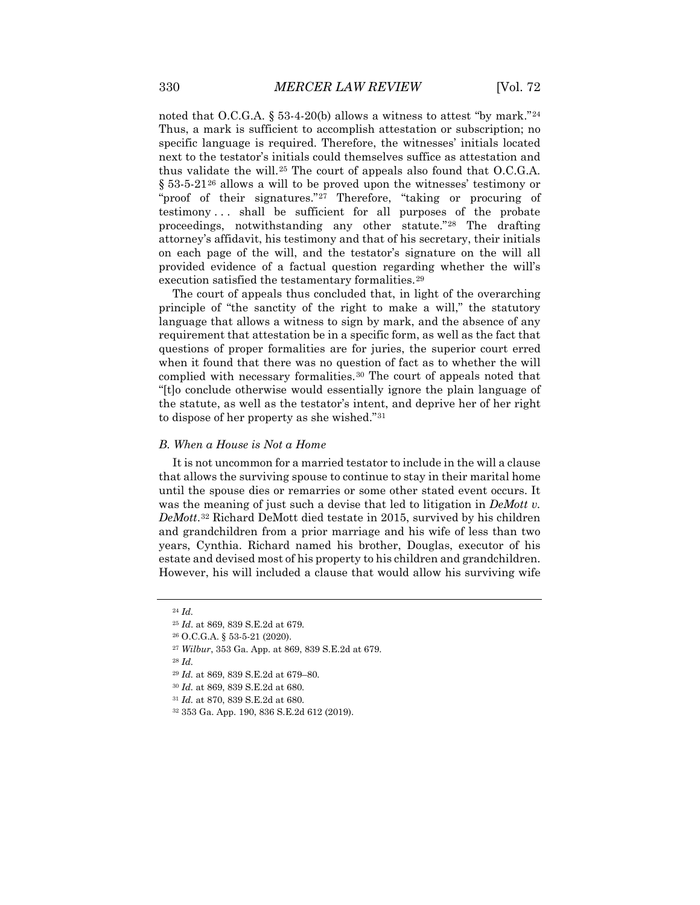noted that O.C.G.A. § 53-4-20(b) allows a witness to attest "by mark."<sup>[24](#page-4-0)</sup> Thus, a mark is sufficient to accomplish attestation or subscription; no specific language is required. Therefore, the witnesses' initials located next to the testator's initials could themselves suffice as attestation and thus validate the will.[25](#page-4-1) The court of appeals also found that O.C.G.A. § 53-5-21[26](#page-4-2) allows a will to be proved upon the witnesses' testimony or "proof of their signatures."[27](#page-4-3) Therefore, "taking or procuring of testimony . . . shall be sufficient for all purposes of the probate proceedings, notwithstanding any other statute."[28](#page-4-4) The drafting attorney's affidavit, his testimony and that of his secretary, their initials on each page of the will, and the testator's signature on the will all provided evidence of a factual question regarding whether the will's execution satisfied the testamentary formalities.<sup>[29](#page-4-5)</sup>

The court of appeals thus concluded that, in light of the overarching principle of "the sanctity of the right to make a will," the statutory language that allows a witness to sign by mark, and the absence of any requirement that attestation be in a specific form, as well as the fact that questions of proper formalities are for juries, the superior court erred when it found that there was no question of fact as to whether the will complied with necessary formalities.[30](#page-4-6) The court of appeals noted that "[t]o conclude otherwise would essentially ignore the plain language of the statute, as well as the testator's intent, and deprive her of her right to dispose of her property as she wished."[31](#page-4-7)

#### *B. When a House is Not a Home*

It is not uncommon for a married testator to include in the will a clause that allows the surviving spouse to continue to stay in their marital home until the spouse dies or remarries or some other stated event occurs. It was the meaning of just such a devise that led to litigation in *DeMott v. DeMott*.[32](#page-4-8) Richard DeMott died testate in 2015, survived by his children and grandchildren from a prior marriage and his wife of less than two years, Cynthia. Richard named his brother, Douglas, executor of his estate and devised most of his property to his children and grandchildren. However, his will included a clause that would allow his surviving wife

<sup>27</sup> *Wilbur*, 353 Ga. App. at 869, 839 S.E.2d at 679.

<span id="page-4-1"></span><span id="page-4-0"></span><sup>24</sup> *Id.*

<sup>25</sup> *Id*. at 869, 839 S.E.2d at 679.

<span id="page-4-2"></span><sup>26</sup> O.C.G.A. § 53-5-21 (2020).

<span id="page-4-4"></span><span id="page-4-3"></span><sup>28</sup> *Id.*

<span id="page-4-6"></span><span id="page-4-5"></span><sup>29</sup> *Id.* at 869, 839 S.E.2d at 679–80.

<sup>30</sup> *Id.* at 869, 839 S.E.2d at 680.

<span id="page-4-7"></span><sup>31</sup> *Id.* at 870, 839 S.E.2d at 680.

<span id="page-4-8"></span><sup>32</sup> 353 Ga. App. 190, 836 S.E.2d 612 (2019).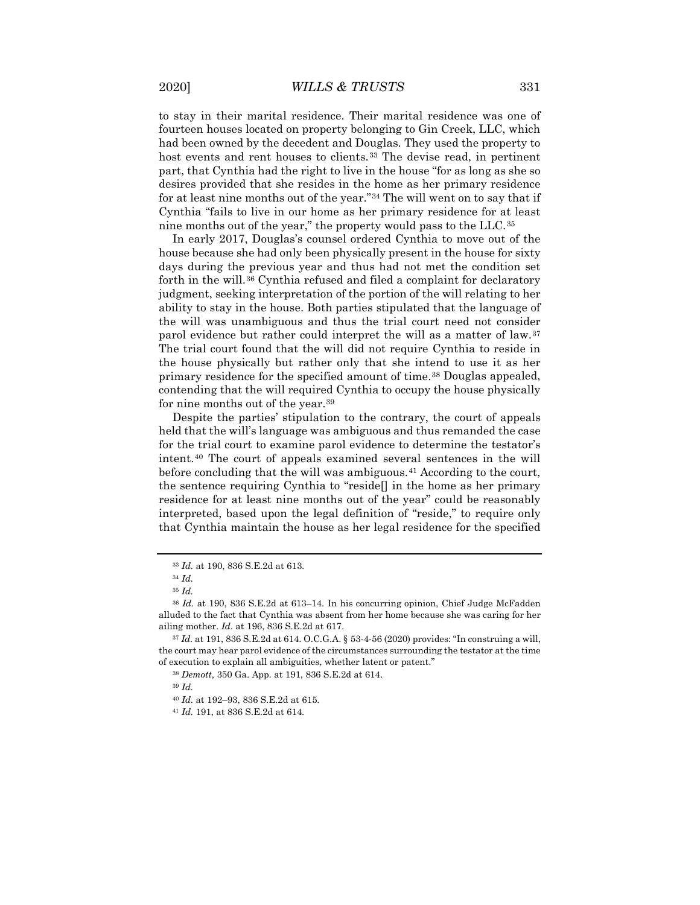to stay in their marital residence. Their marital residence was one of fourteen houses located on property belonging to Gin Creek, LLC, which had been owned by the decedent and Douglas. They used the property to host events and rent houses to clients.<sup>[33](#page-5-0)</sup> The devise read, in pertinent part, that Cynthia had the right to live in the house "for as long as she so desires provided that she resides in the home as her primary residence for at least nine months out of the year."[34](#page-5-1) The will went on to say that if Cynthia "fails to live in our home as her primary residence for at least nine months out of the year," the property would pass to the LLC.[35](#page-5-2)

In early 2017, Douglas's counsel ordered Cynthia to move out of the house because she had only been physically present in the house for sixty days during the previous year and thus had not met the condition set forth in the will.[36](#page-5-3) Cynthia refused and filed a complaint for declaratory judgment, seeking interpretation of the portion of the will relating to her ability to stay in the house. Both parties stipulated that the language of the will was unambiguous and thus the trial court need not consider parol evidence but rather could interpret the will as a matter of law.[37](#page-5-4) The trial court found that the will did not require Cynthia to reside in the house physically but rather only that she intend to use it as her primary residence for the specified amount of time.[38](#page-5-5) Douglas appealed, contending that the will required Cynthia to occupy the house physically for nine months out of the year.[39](#page-5-6)

Despite the parties' stipulation to the contrary, the court of appeals held that the will's language was ambiguous and thus remanded the case for the trial court to examine parol evidence to determine the testator's intent.[40](#page-5-7) The court of appeals examined several sentences in the will before concluding that the will was ambiguous.<sup>[41](#page-5-8)</sup> According to the court, the sentence requiring Cynthia to "reside[] in the home as her primary residence for at least nine months out of the year" could be reasonably interpreted, based upon the legal definition of "reside," to require only that Cynthia maintain the house as her legal residence for the specified

<sup>39</sup> *Id.*

<sup>33</sup> *Id.* at 190, 836 S.E.2d at 613.

<sup>34</sup> *Id.*

<sup>35</sup> *Id.*

<span id="page-5-3"></span><span id="page-5-2"></span><span id="page-5-1"></span><span id="page-5-0"></span><sup>36</sup> *Id.* at 190, 836 S.E.2d at 613–14. In his concurring opinion, Chief Judge McFadden alluded to the fact that Cynthia was absent from her home because she was caring for her ailing mother. *Id.* at 196, 836 S.E.2d at 617.

<span id="page-5-7"></span><span id="page-5-6"></span><span id="page-5-5"></span><span id="page-5-4"></span><sup>37</sup> *Id.* at 191, 836 S.E.2d at 614. O.C.G.A. § 53-4-56 (2020) provides: "In construing a will, the court may hear parol evidence of the circumstances surrounding the testator at the time of execution to explain all ambiguities, whether latent or patent."

<sup>38</sup> *Demott*, 350 Ga. App. at 191, 836 S.E.2d at 614.

<sup>40</sup> *Id.* at 192–93, 836 S.E.2d at 615.

<span id="page-5-8"></span><sup>41</sup> *Id.* 191, at 836 S.E.2d at 614.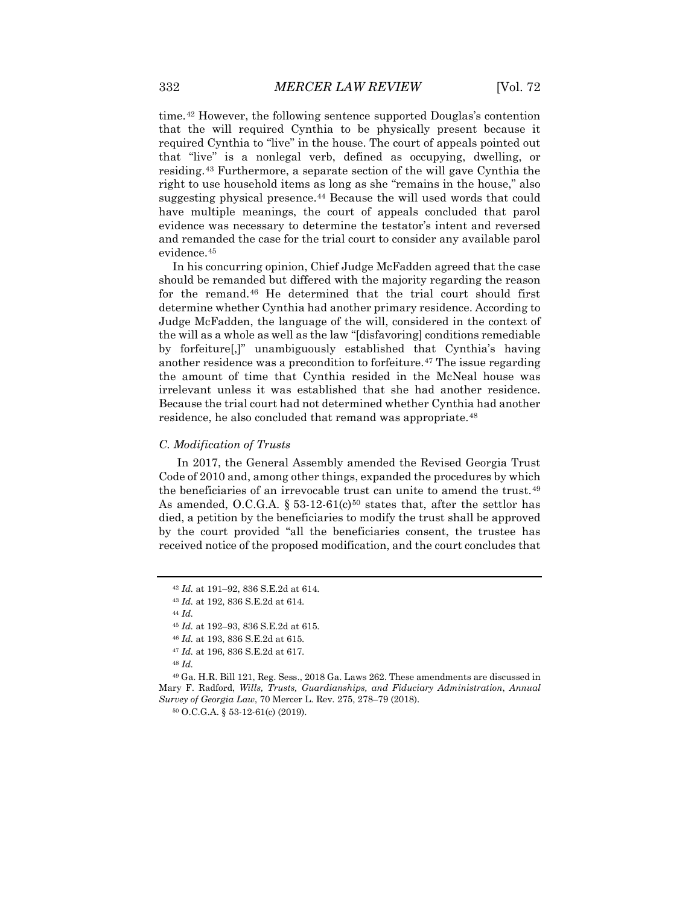time.[42](#page-6-0) However, the following sentence supported Douglas's contention that the will required Cynthia to be physically present because it required Cynthia to "live" in the house. The court of appeals pointed out that "live" is a nonlegal verb, defined as occupying, dwelling, or residing.[43](#page-6-1) Furthermore, a separate section of the will gave Cynthia the right to use household items as long as she "remains in the house," also suggesting physical presence.<sup>[44](#page-6-2)</sup> Because the will used words that could have multiple meanings, the court of appeals concluded that parol evidence was necessary to determine the testator's intent and reversed and remanded the case for the trial court to consider any available parol evidence.[45](#page-6-3)

In his concurring opinion, Chief Judge McFadden agreed that the case should be remanded but differed with the majority regarding the reason for the remand.[46](#page-6-4) He determined that the trial court should first determine whether Cynthia had another primary residence. According to Judge McFadden, the language of the will, considered in the context of the will as a whole as well as the law "[disfavoring] conditions remediable by forfeiture[,]" unambiguously established that Cynthia's having another residence was a precondition to forfeiture.<sup>[47](#page-6-5)</sup> The issue regarding the amount of time that Cynthia resided in the McNeal house was irrelevant unless it was established that she had another residence. Because the trial court had not determined whether Cynthia had another residence, he also concluded that remand was appropriate.<sup>[48](#page-6-6)</sup>

#### *C. Modification of Trusts*

In 2017, the General Assembly amended the Revised Georgia Trust Code of 2010 and, among other things, expanded the procedures by which the beneficiaries of an irrevocable trust can unite to amend the trust.[49](#page-6-7) As amended, O.C.G.A.  $\S 53-12-61(c)$ <sup>[50](#page-6-8)</sup> states that, after the settlor has died, a petition by the beneficiaries to modify the trust shall be approved by the court provided "all the beneficiaries consent, the trustee has received notice of the proposed modification, and the court concludes that

<sup>44</sup> *Id.*

<sup>45</sup> *Id.* at 192–93, 836 S.E.2d at 615.

<sup>46</sup> *Id.* at 193, 836 S.E.2d at 615.

<sup>47</sup> *Id.* at 196, 836 S.E.2d at 617.

<sup>48</sup> *Id.*

<span id="page-6-8"></span><span id="page-6-7"></span><span id="page-6-6"></span><span id="page-6-5"></span><span id="page-6-4"></span><span id="page-6-3"></span><span id="page-6-2"></span><sup>49</sup> Ga. H.R. Bill 121, Reg. Sess., 2018 Ga. Laws 262. These amendments are discussed in Mary F. Radford, *Wills, Trusts, Guardianships, and Fiduciary Administration*, *Annual Survey of Georgia Law*, 70 Mercer L. Rev. 275, 278–79 (2018).

<sup>50</sup> O.C.G.A. § 53-12-61(c) (2019).

<span id="page-6-0"></span><sup>42</sup> *Id.* at 191–92, 836 S.E.2d at 614.

<span id="page-6-1"></span><sup>43</sup> *Id.* at 192, 836 S.E.2d at 614.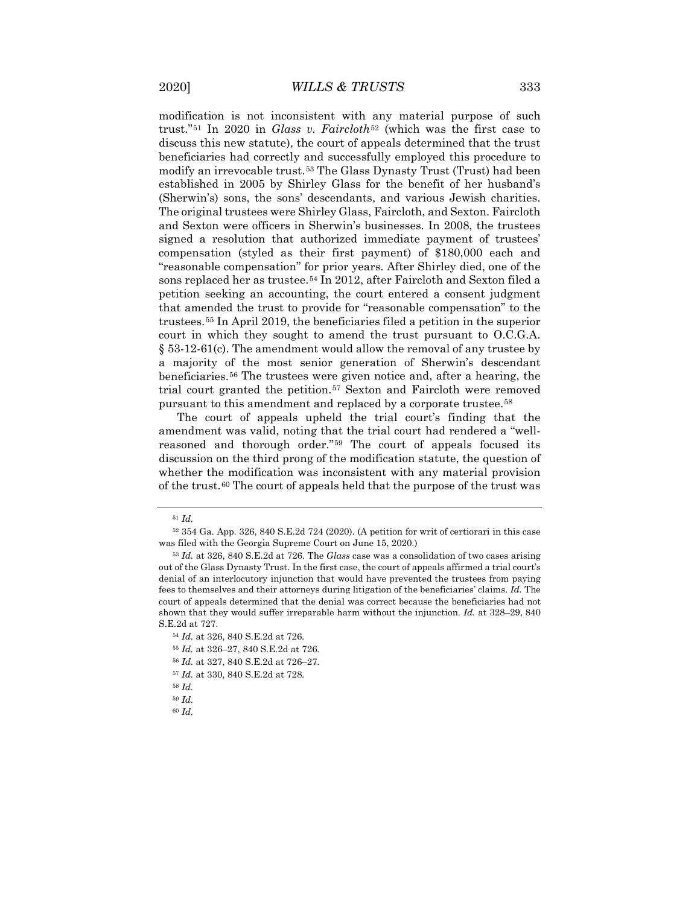modification is not inconsistent with any material purpose of such trust."[51](#page-7-0) In 2020 in *Glass v. Faircloth*[52](#page-7-1) (which was the first case to discuss this new statute), the court of appeals determined that the trust beneficiaries had correctly and successfully employed this procedure to modify an irrevocable trust.[53](#page-7-2) The Glass Dynasty Trust (Trust) had been established in 2005 by Shirley Glass for the benefit of her husband's (Sherwin's) sons, the sons' descendants, and various Jewish charities. The original trustees were Shirley Glass, Faircloth, and Sexton. Faircloth and Sexton were officers in Sherwin's businesses. In 2008, the trustees signed a resolution that authorized immediate payment of trustees' compensation (styled as their first payment) of \$180,000 each and "reasonable compensation" for prior years. After Shirley died, one of the sons replaced her as trustee.<sup>[54](#page-7-3)</sup> In 2012, after Faircloth and Sexton filed a petition seeking an accounting, the court entered a consent judgment that amended the trust to provide for "reasonable compensation" to the trustees.[55](#page-7-4) In April 2019, the beneficiaries filed a petition in the superior court in which they sought to amend the trust pursuant to O.C.G.A. § 53-12-61(c). The amendment would allow the removal of any trustee by a majority of the most senior generation of Sherwin's descendant beneficiaries.[56](#page-7-5) The trustees were given notice and, after a hearing, the trial court granted the petition.[57](#page-7-6) Sexton and Faircloth were removed pursuant to this amendment and replaced by a corporate trustee.[58](#page-7-7)

The court of appeals upheld the trial court's finding that the amendment was valid, noting that the trial court had rendered a "wellreasoned and thorough order."[59](#page-7-8) The court of appeals focused its discussion on the third prong of the modification statute, the question of whether the modification was inconsistent with any material provision of the trust.[60](#page-7-9) The court of appeals held that the purpose of the trust was

- <span id="page-7-4"></span><sup>55</sup> *Id.* at 326–27, 840 S.E.2d at 726.
- <sup>56</sup> *Id.* at 327, 840 S.E.2d at 726–27.
- <span id="page-7-7"></span><span id="page-7-6"></span><span id="page-7-5"></span><sup>57</sup> *Id.* at 330, 840 S.E.2d at 728.
- <sup>58</sup> *Id.*
- <span id="page-7-9"></span><span id="page-7-8"></span><sup>59</sup> *Id.*
- <sup>60</sup> *Id.*

<sup>51</sup> *Id.*

<span id="page-7-1"></span><span id="page-7-0"></span><sup>52</sup> 354 Ga. App. 326, 840 S.E.2d 724 (2020). (A petition for writ of certiorari in this case was filed with the Georgia Supreme Court on June 15, 2020.)

<span id="page-7-2"></span><sup>53</sup> *Id.* at 326, 840 S.E.2d at 726. The *Glass* case was a consolidation of two cases arising out of the Glass Dynasty Trust. In the first case, the court of appeals affirmed a trial court's denial of an interlocutory injunction that would have prevented the trustees from paying fees to themselves and their attorneys during litigation of the beneficiaries' claims. *Id.* The court of appeals determined that the denial was correct because the beneficiaries had not shown that they would suffer irreparable harm without the injunction. *Id.* at 328–29, 840 S.E.2d at 727.

<span id="page-7-3"></span><sup>54</sup> *Id.* at 326, 840 S.E.2d at 726.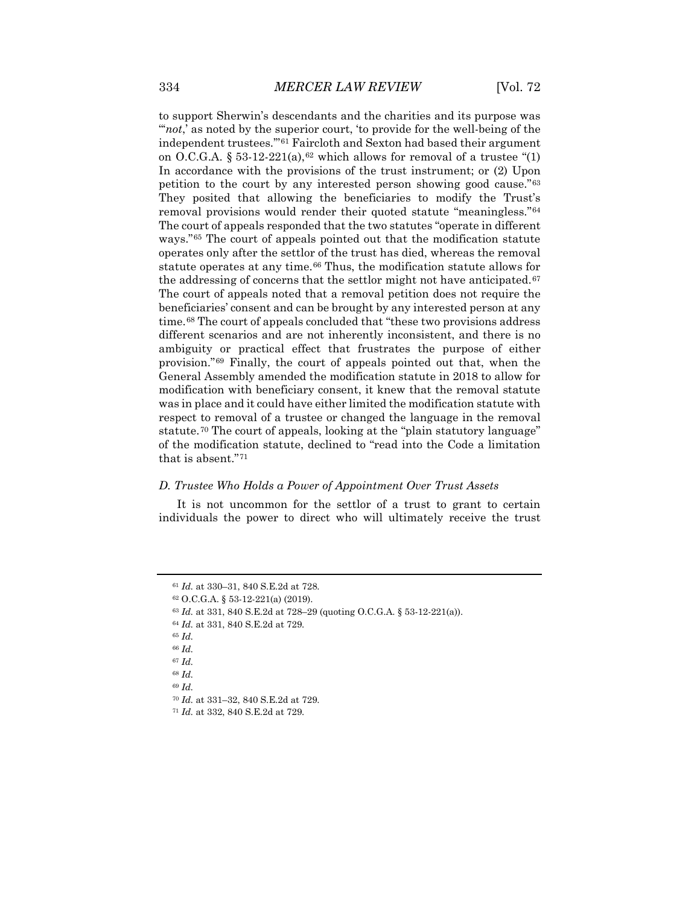to support Sherwin's descendants and the charities and its purpose was "'*not*,' as noted by the superior court, 'to provide for the well-being of the independent trustees.'"[61](#page-8-0) Faircloth and Sexton had based their argument on O.C.G.A. § 53-12-221(a),<sup>[62](#page-8-1)</sup> which allows for removal of a trustee "(1) In accordance with the provisions of the trust instrument; or (2) Upon petition to the court by any interested person showing good cause."[63](#page-8-2) They posited that allowing the beneficiaries to modify the Trust's removal provisions would render their quoted statute "meaningless."[64](#page-8-3) The court of appeals responded that the two statutes "operate in different ways."[65](#page-8-4) The court of appeals pointed out that the modification statute operates only after the settlor of the trust has died, whereas the removal statute operates at any time.<sup>[66](#page-8-5)</sup> Thus, the modification statute allows for the addressing of concerns that the settlor might not have anticipated.<sup>[67](#page-8-6)</sup> The court of appeals noted that a removal petition does not require the beneficiaries' consent and can be brought by any interested person at any time.[68](#page-8-7) The court of appeals concluded that "these two provisions address different scenarios and are not inherently inconsistent, and there is no ambiguity or practical effect that frustrates the purpose of either provision."[69](#page-8-8) Finally, the court of appeals pointed out that, when the General Assembly amended the modification statute in 2018 to allow for modification with beneficiary consent, it knew that the removal statute was in place and it could have either limited the modification statute with respect to removal of a trustee or changed the language in the removal statute.[70](#page-8-9) The court of appeals, looking at the "plain statutory language" of the modification statute, declined to "read into the Code a limitation that is absent."[71](#page-8-10)

#### *D. Trustee Who Holds a Power of Appointment Over Trust Assets*

It is not uncommon for the settlor of a trust to grant to certain individuals the power to direct who will ultimately receive the trust

- <span id="page-8-4"></span><sup>65</sup> *Id.*
- <sup>66</sup> *Id.*
- <span id="page-8-6"></span><span id="page-8-5"></span><sup>67</sup> *Id.*

<sup>69</sup> *Id.*

<sup>61</sup> *Id.* at 330–31, 840 S.E.2d at 728.

<span id="page-8-2"></span><span id="page-8-1"></span><span id="page-8-0"></span><sup>62</sup> O.C.G.A. § 53-12-221(a) (2019).

<span id="page-8-3"></span><sup>63</sup> *Id.* at 331, 840 S.E.2d at 728–29 (quoting O.C.G.A. § 53-12-221(a)).

<sup>64</sup> *Id.* at 331, 840 S.E.2d at 729.

<span id="page-8-9"></span><span id="page-8-8"></span><span id="page-8-7"></span><sup>68</sup> *Id.*

<sup>70</sup> *Id.* at 331–32, 840 S.E.2d at 729.

<span id="page-8-10"></span><sup>71</sup> *Id.* at 332, 840 S.E.2d at 729.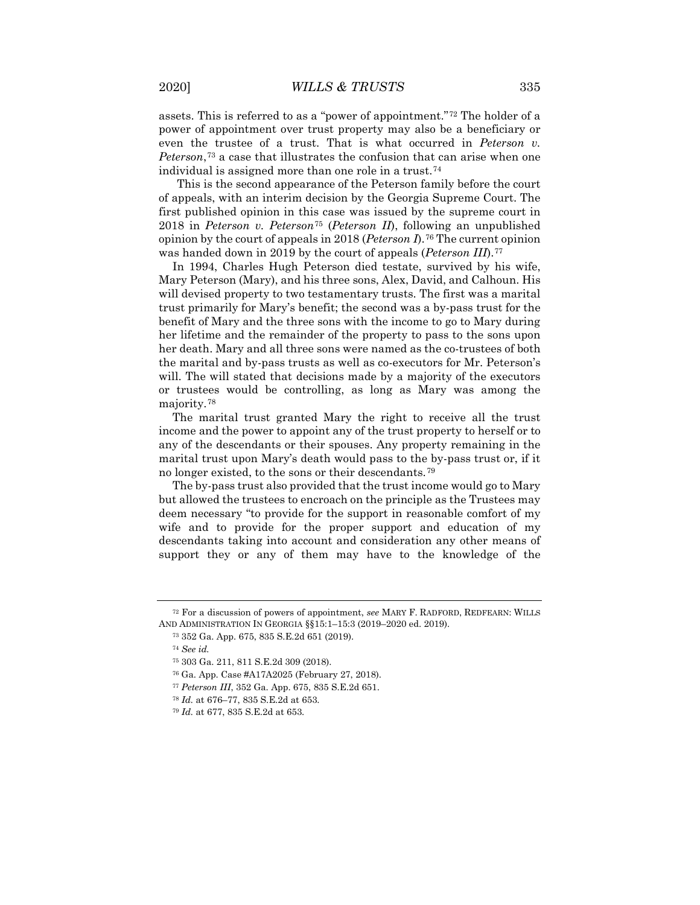assets. This is referred to as a "power of appointment."[72](#page-9-0) The holder of a power of appointment over trust property may also be a beneficiary or even the trustee of a trust. That is what occurred in *Peterson v. Peterson*,[73](#page-9-1) a case that illustrates the confusion that can arise when one individual is assigned more than one role in a trust.[74](#page-9-2)

This is the second appearance of the Peterson family before the court of appeals, with an interim decision by the Georgia Supreme Court. The first published opinion in this case was issued by the supreme court in 2018 in *Peterson v. Peterson*[75](#page-9-3) (*Peterson II*), following an unpublished opinion by the court of appeals in 2018 (*Peterson I*).[76](#page-9-4) The current opinion was handed down in 2019 by the court of appeals (*Peterson III*).[77](#page-9-5)

In 1994, Charles Hugh Peterson died testate, survived by his wife, Mary Peterson (Mary), and his three sons, Alex, David, and Calhoun. His will devised property to two testamentary trusts. The first was a marital trust primarily for Mary's benefit; the second was a by-pass trust for the benefit of Mary and the three sons with the income to go to Mary during her lifetime and the remainder of the property to pass to the sons upon her death. Mary and all three sons were named as the co-trustees of both the marital and by-pass trusts as well as co-executors for Mr. Peterson's will. The will stated that decisions made by a majority of the executors or trustees would be controlling, as long as Mary was among the majority.[78](#page-9-6)

The marital trust granted Mary the right to receive all the trust income and the power to appoint any of the trust property to herself or to any of the descendants or their spouses. Any property remaining in the marital trust upon Mary's death would pass to the by-pass trust or, if it no longer existed, to the sons or their descendants.[79](#page-9-7)

The by-pass trust also provided that the trust income would go to Mary but allowed the trustees to encroach on the principle as the Trustees may deem necessary "to provide for the support in reasonable comfort of my wife and to provide for the proper support and education of my descendants taking into account and consideration any other means of support they or any of them may have to the knowledge of the

<span id="page-9-4"></span><span id="page-9-3"></span><span id="page-9-2"></span><span id="page-9-1"></span><span id="page-9-0"></span><sup>72</sup> For a discussion of powers of appointment, *see* MARY F. RADFORD, REDFEARN: WILLS AND ADMINISTRATION IN GEORGIA §§15:1–15:3 (2019–2020 ed. 2019).

<sup>73</sup> 352 Ga. App. 675, 835 S.E.2d 651 (2019).

<sup>74</sup> *See id.*

<sup>75</sup> 303 Ga. 211, 811 S.E.2d 309 (2018).

<sup>76</sup> Ga. App. Case #A17A2025 (February 27, 2018).

<span id="page-9-6"></span><span id="page-9-5"></span><sup>77</sup> *Peterson III*, 352 Ga. App. 675, 835 S.E.2d 651.

<sup>78</sup> *Id.* at 676–77, 835 S.E.2d at 653.

<span id="page-9-7"></span><sup>79</sup> *Id.* at 677, 835 S.E.2d at 653.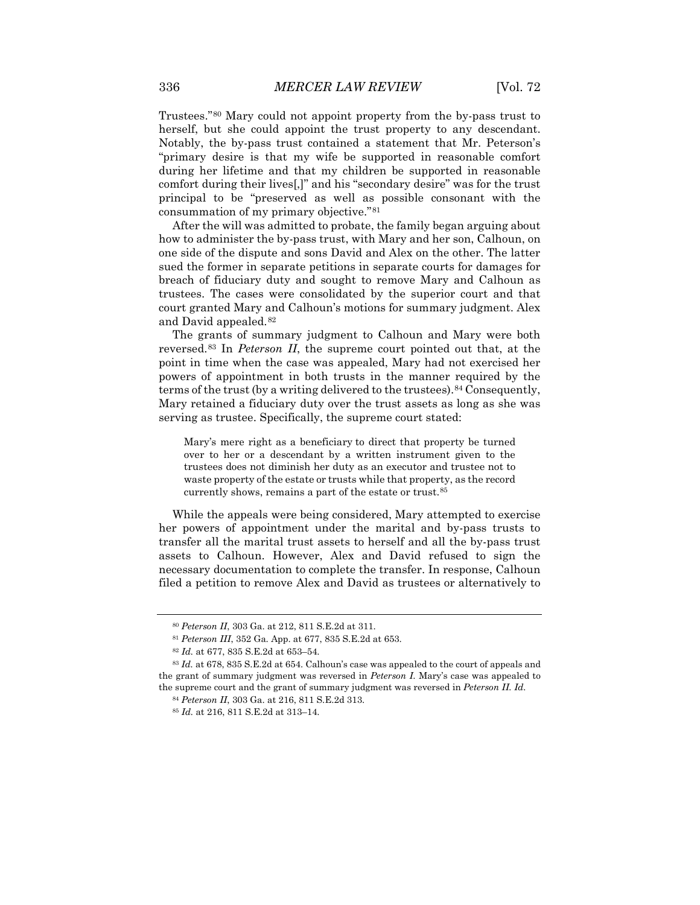Trustees."[80](#page-10-0) Mary could not appoint property from the by-pass trust to herself, but she could appoint the trust property to any descendant. Notably, the by-pass trust contained a statement that Mr. Peterson's "primary desire is that my wife be supported in reasonable comfort during her lifetime and that my children be supported in reasonable comfort during their lives[,]" and his "secondary desire" was for the trust principal to be "preserved as well as possible consonant with the consummation of my primary objective."[81](#page-10-1)

After the will was admitted to probate, the family began arguing about how to administer the by-pass trust, with Mary and her son, Calhoun, on one side of the dispute and sons David and Alex on the other. The latter sued the former in separate petitions in separate courts for damages for breach of fiduciary duty and sought to remove Mary and Calhoun as trustees. The cases were consolidated by the superior court and that court granted Mary and Calhoun's motions for summary judgment. Alex and David appealed.[82](#page-10-2)

The grants of summary judgment to Calhoun and Mary were both reversed.[83](#page-10-3) In *Peterson II*, the supreme court pointed out that, at the point in time when the case was appealed, Mary had not exercised her powers of appointment in both trusts in the manner required by the terms of the trust (by a writing delivered to the trustees). <sup>[84](#page-10-4)</sup> Consequently, Mary retained a fiduciary duty over the trust assets as long as she was serving as trustee. Specifically, the supreme court stated:

Mary's mere right as a beneficiary to direct that property be turned over to her or a descendant by a written instrument given to the trustees does not diminish her duty as an executor and trustee not to waste property of the estate or trusts while that property, as the record currently shows, remains a part of the estate or trust.[85](#page-10-5)

While the appeals were being considered, Mary attempted to exercise her powers of appointment under the marital and by-pass trusts to transfer all the marital trust assets to herself and all the by-pass trust assets to Calhoun. However, Alex and David refused to sign the necessary documentation to complete the transfer. In response, Calhoun filed a petition to remove Alex and David as trustees or alternatively to

<sup>80</sup> *Peterson II*, 303 Ga. at 212, 811 S.E.2d at 311.

<sup>81</sup> *Peterson III*, 352 Ga. App. at 677, 835 S.E.2d at 653.

<sup>82</sup> *Id.* at 677, 835 S.E.2d at 653–54.

<span id="page-10-5"></span><span id="page-10-4"></span><span id="page-10-3"></span><span id="page-10-2"></span><span id="page-10-1"></span><span id="page-10-0"></span><sup>83</sup> *Id.* at 678, 835 S.E.2d at 654. Calhoun's case was appealed to the court of appeals and the grant of summary judgment was reversed in *Peterson I*. Mary's case was appealed to the supreme court and the grant of summary judgment was reversed in *Peterson II. Id.* 

<sup>84</sup> *Peterson II*, 303 Ga. at 216, 811 S.E.2d 313.

<sup>85</sup> *Id.* at 216, 811 S.E.2d at 313–14.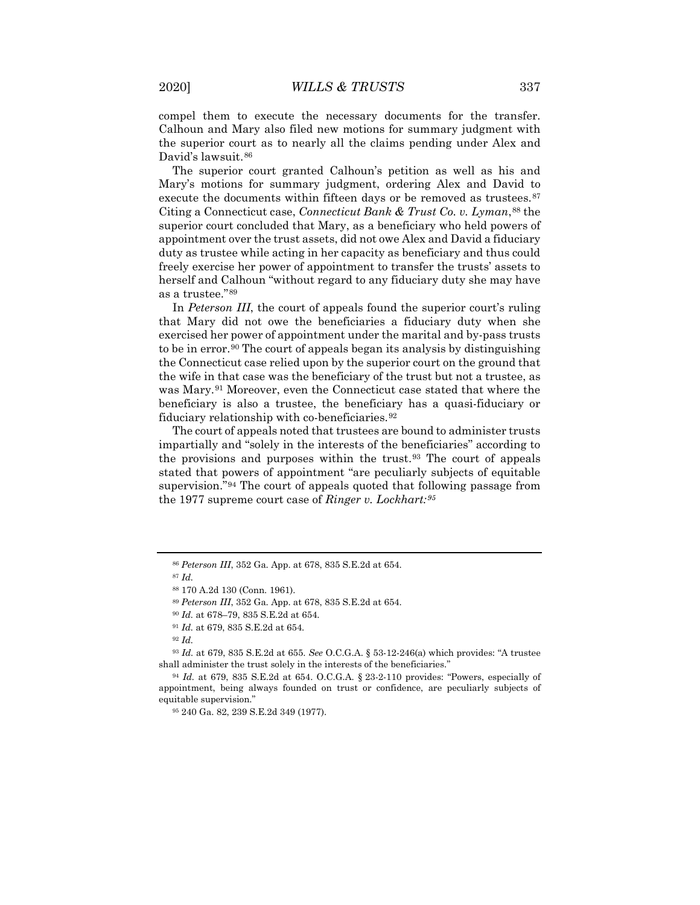compel them to execute the necessary documents for the transfer. Calhoun and Mary also filed new motions for summary judgment with the superior court as to nearly all the claims pending under Alex and David's lawsuit.[86](#page-11-0)

The superior court granted Calhoun's petition as well as his and Mary's motions for summary judgment, ordering Alex and David to execute the documents within fifteen days or be removed as trustees.<sup>[87](#page-11-1)</sup> Citing a Connecticut case, *Connecticut Bank & Trust Co. v. Lyman*,[88](#page-11-2) the superior court concluded that Mary, as a beneficiary who held powers of appointment over the trust assets, did not owe Alex and David a fiduciary duty as trustee while acting in her capacity as beneficiary and thus could freely exercise her power of appointment to transfer the trusts' assets to herself and Calhoun "without regard to any fiduciary duty she may have as a trustee."[89](#page-11-3)

In *Peterson III*, the court of appeals found the superior court's ruling that Mary did not owe the beneficiaries a fiduciary duty when she exercised her power of appointment under the marital and by-pass trusts to be in error.[90](#page-11-4) The court of appeals began its analysis by distinguishing the Connecticut case relied upon by the superior court on the ground that the wife in that case was the beneficiary of the trust but not a trustee, as was Mary.[91](#page-11-5) Moreover, even the Connecticut case stated that where the beneficiary is also a trustee, the beneficiary has a quasi-fiduciary or fiduciary relationship with co-beneficiaries.[92](#page-11-6)

The court of appeals noted that trustees are bound to administer trusts impartially and "solely in the interests of the beneficiaries" according to the provisions and purposes within the trust.<sup>[93](#page-11-7)</sup> The court of appeals stated that powers of appointment "are peculiarly subjects of equitable supervision."[94](#page-11-8) The court of appeals quoted that following passage from the 1977 supreme court case of *Ringer v. Lockhart:[95](#page-11-9)*

<span id="page-11-8"></span><span id="page-11-7"></span><span id="page-11-6"></span><span id="page-11-5"></span><span id="page-11-4"></span><span id="page-11-3"></span><span id="page-11-2"></span><sup>93</sup> *Id.* at 679, 835 S.E.2d at 655. *See* O.C.G.A. § 53-12-246(a) which provides: "A trustee shall administer the trust solely in the interests of the beneficiaries."

<span id="page-11-1"></span><span id="page-11-0"></span><sup>86</sup> *Peterson III*, 352 Ga. App. at 678, 835 S.E.2d at 654.

<sup>87</sup> *Id.*

<sup>88</sup> 170 A.2d 130 (Conn. 1961).

<sup>89</sup> *Peterson III*, 352 Ga. App. at 678, 835 S.E.2d at 654.

<sup>90</sup> *Id.* at 678–79, 835 S.E.2d at 654.

<sup>91</sup> *Id.* at 679, 835 S.E.2d at 654.

<sup>92</sup> *Id.*

<span id="page-11-9"></span><sup>94</sup> *Id.* at 679, 835 S.E.2d at 654. O.C.G.A. § 23-2-110 provides: "Powers, especially of appointment, being always founded on trust or confidence, are peculiarly subjects of equitable supervision."

<sup>95</sup> 240 Ga. 82, 239 S.E.2d 349 (1977).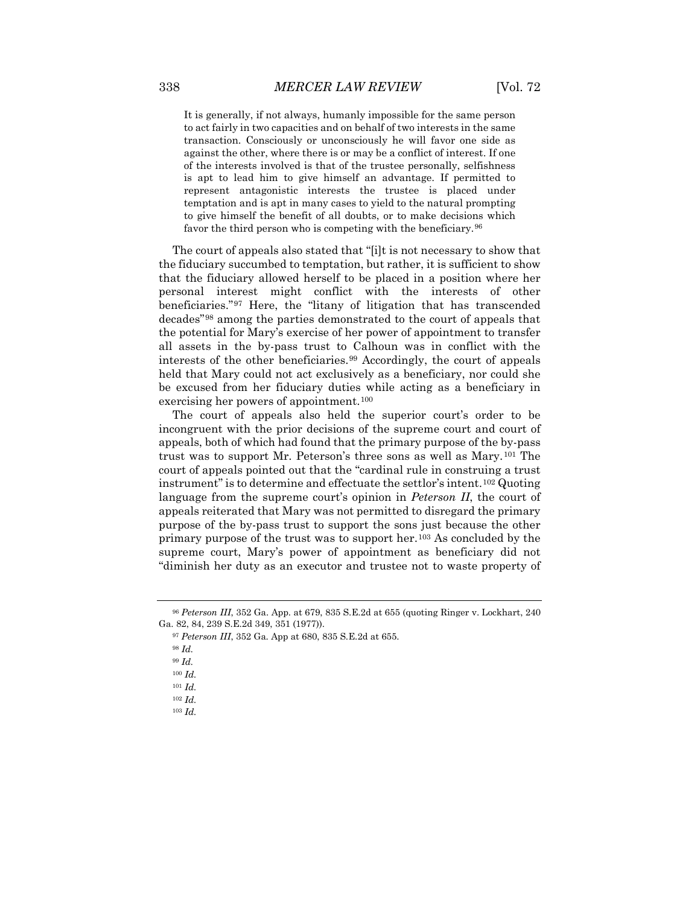It is generally, if not always, humanly impossible for the same person to act fairly in two capacities and on behalf of two interests in the same transaction. Consciously or unconsciously he will favor one side as against the other, where there is or may be a conflict of interest. If one of the interests involved is that of the trustee personally, selfishness is apt to lead him to give himself an advantage. If permitted to represent antagonistic interests the trustee is placed under temptation and is apt in many cases to yield to the natural prompting to give himself the benefit of all doubts, or to make decisions which favor the third person who is competing with the beneficiary.<sup>[96](#page-12-0)</sup>

The court of appeals also stated that "[i]t is not necessary to show that the fiduciary succumbed to temptation, but rather, it is sufficient to show that the fiduciary allowed herself to be placed in a position where her personal interest might conflict with the interests of other beneficiaries."[97](#page-12-1) Here, the "litany of litigation that has transcended decades"[98](#page-12-2) among the parties demonstrated to the court of appeals that the potential for Mary's exercise of her power of appointment to transfer all assets in the by-pass trust to Calhoun was in conflict with the interests of the other beneficiaries.[99](#page-12-3) Accordingly, the court of appeals held that Mary could not act exclusively as a beneficiary, nor could she be excused from her fiduciary duties while acting as a beneficiary in exercising her powers of appointment[.100](#page-12-4)

The court of appeals also held the superior court's order to be incongruent with the prior decisions of the supreme court and court of appeals, both of which had found that the primary purpose of the by-pass trust was to support Mr. Peterson's three sons as well as Mary.[101](#page-12-5) The court of appeals pointed out that the "cardinal rule in construing a trust instrument" is to determine and effectuate the settlor's intent.[102](#page-12-6) Quoting language from the supreme court's opinion in *Peterson II*, the court of appeals reiterated that Mary was not permitted to disregard the primary purpose of the by-pass trust to support the sons just because the other primary purpose of the trust was to support her.[103](#page-12-7) As concluded by the supreme court, Mary's power of appointment as beneficiary did not "diminish her duty as an executor and trustee not to waste property of

<sup>98</sup> *Id.*

<span id="page-12-4"></span><span id="page-12-3"></span><span id="page-12-2"></span><span id="page-12-1"></span><span id="page-12-0"></span><sup>96</sup> *Peterson III*, 352 Ga. App. at 679, 835 S.E.2d at 655 (quoting Ringer v. Lockhart, 240 Ga. 82, 84, 239 S.E.2d 349, 351 (1977)).

<sup>97</sup> *Peterson III*, 352 Ga. App at 680, 835 S.E.2d at 655.

<sup>99</sup> *Id.*

<sup>100</sup> *Id.*

<span id="page-12-5"></span><sup>101</sup> *Id.*

<span id="page-12-6"></span><sup>102</sup> *Id.*

<span id="page-12-7"></span><sup>103</sup> *Id.*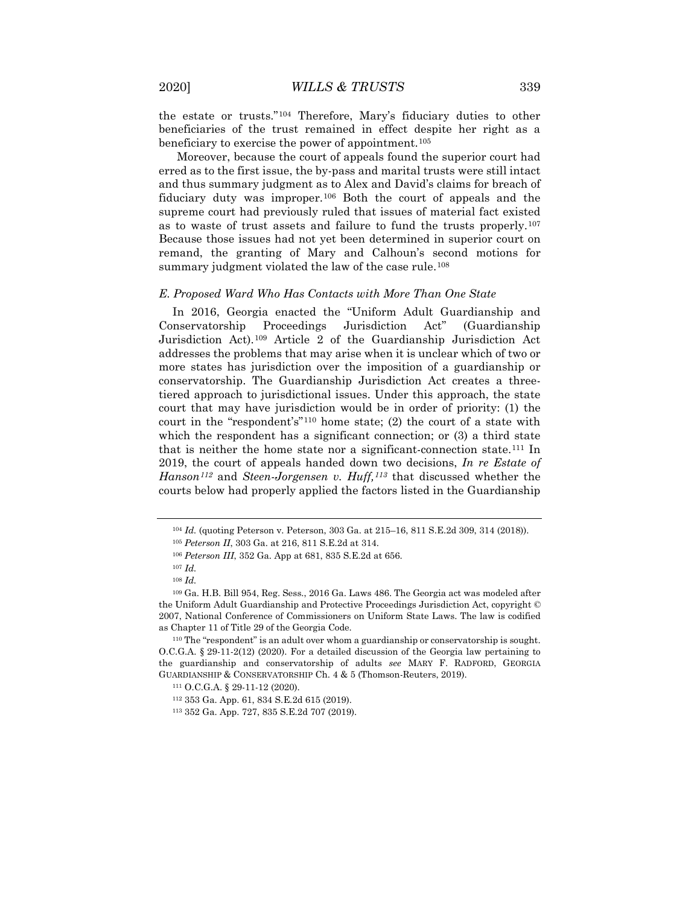the estate or trusts."[104](#page-13-0) Therefore, Mary's fiduciary duties to other beneficiaries of the trust remained in effect despite her right as a beneficiary to exercise the power of appointment.<sup>[105](#page-13-1)</sup>

Moreover, because the court of appeals found the superior court had erred as to the first issue, the by-pass and marital trusts were still intact and thus summary judgment as to Alex and David's claims for breach of fiduciary duty was improper.<sup>[106](#page-13-2)</sup> Both the court of appeals and the supreme court had previously ruled that issues of material fact existed as to waste of trust assets and failure to fund the trusts properly.[107](#page-13-3) Because those issues had not yet been determined in superior court on remand, the granting of Mary and Calhoun's second motions for summary judgment violated the law of the case rule.<sup>[108](#page-13-4)</sup>

#### *E. Proposed Ward Who Has Contacts with More Than One State*

In 2016, Georgia enacted the "Uniform Adult Guardianship and Conservatorship Proceedings Jurisdiction Act" (Guardianship Jurisdiction Act).[109](#page-13-5) Article 2 of the Guardianship Jurisdiction Act addresses the problems that may arise when it is unclear which of two or more states has jurisdiction over the imposition of a guardianship or conservatorship. The Guardianship Jurisdiction Act creates a threetiered approach to jurisdictional issues. Under this approach, the state court that may have jurisdiction would be in order of priority: (1) the court in the "respondent's"[110](#page-13-6) home state; (2) the court of a state with which the respondent has a significant connection; or  $(3)$  a third state that is neither the home state nor a significant-connection state.[111](#page-13-7) In 2019, the court of appeals handed down two decisions, *In re Estate of Hanson[112](#page-13-8)* and *Steen-Jorgensen v. Huff,[113](#page-13-9)* that discussed whether the courts below had properly applied the factors listed in the Guardianship

<sup>104</sup> *Id.* (quoting Peterson v. Peterson, 303 Ga. at 215–16, 811 S.E.2d 309, 314 (2018)).

<sup>105</sup> *Peterson II*, 303 Ga. at 216, 811 S.E.2d at 314.

<sup>106</sup> *Peterson III*, 352 Ga. App at 681, 835 S.E.2d at 656.

<sup>107</sup> *Id.*

<sup>108</sup> *Id.*

<span id="page-13-5"></span><span id="page-13-4"></span><span id="page-13-3"></span><span id="page-13-2"></span><span id="page-13-1"></span><span id="page-13-0"></span><sup>109</sup> Ga. H.B. Bill 954, Reg. Sess., 2016 Ga. Laws 486. The Georgia act was modeled after the Uniform Adult Guardianship and Protective Proceedings Jurisdiction Act, copyright © 2007, National Conference of Commissioners on Uniform State Laws. The law is codified as Chapter 11 of Title 29 of the Georgia Code.

<span id="page-13-8"></span><span id="page-13-7"></span><span id="page-13-6"></span><sup>110</sup> The "respondent" is an adult over whom a guardianship or conservatorship is sought. O.C.G.A. § 29-11-2(12) (2020). For a detailed discussion of the Georgia law pertaining to the guardianship and conservatorship of adults *see* MARY F. RADFORD, GEORGIA GUARDIANSHIP & CONSERVATORSHIP Ch. 4 & 5 (Thomson-Reuters, 2019).

<sup>111</sup> O.C.G.A. § 29-11-12 (2020).

<sup>112</sup> 353 Ga. App. 61, 834 S.E.2d 615 (2019).

<span id="page-13-9"></span><sup>113</sup> 352 Ga. App. 727, 835 S.E.2d 707 (2019).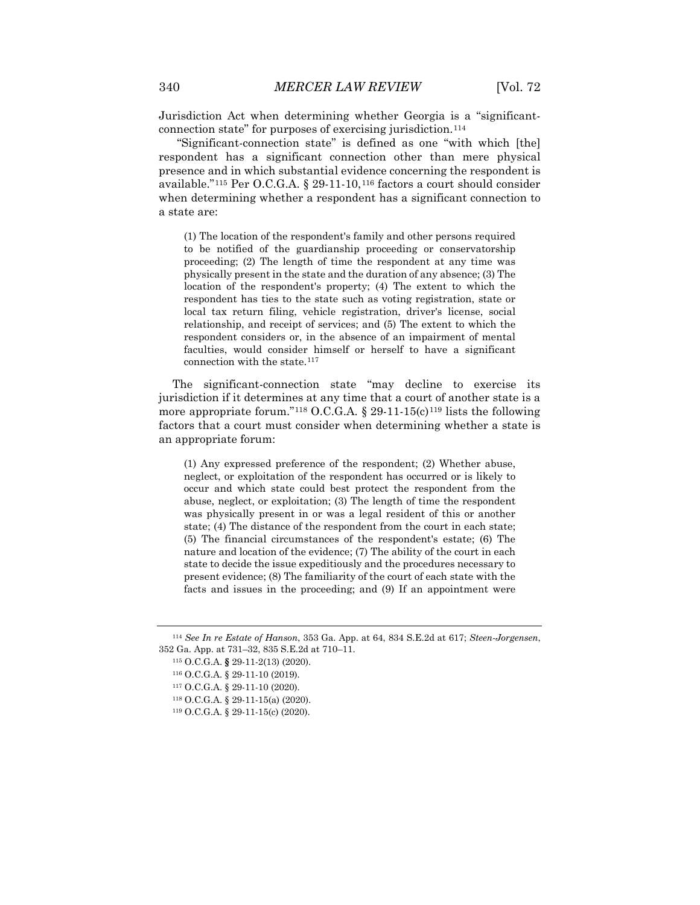Jurisdiction Act when determining whether Georgia is a "significantconnection state" for purposes of exercising jurisdiction.[114](#page-14-0)

"Significant-connection state" is defined as one "with which [the] respondent has a significant connection other than mere physical presence and in which substantial evidence concerning the respondent is available."[115](#page-14-1) Per O.C.G.A. § 29-11-10,[116](#page-14-2) factors a court should consider when determining whether a respondent has a significant connection to a state are:

(1) The location of the respondent's family and other persons required to be notified of the guardianship proceeding or conservatorship proceeding; (2) The length of time the respondent at any time was physically present in the state and the duration of any absence; (3) The location of the respondent's property; (4) The extent to which the respondent has ties to the state such as voting registration, state or local tax return filing, vehicle registration, driver's license, social relationship, and receipt of services; and (5) The extent to which the respondent considers or, in the absence of an impairment of mental faculties, would consider himself or herself to have a significant connection with the state.<sup>[117](#page-14-3)</sup>

The significant-connection state "may decline to exercise its jurisdiction if it determines at any time that a court of another state is a more appropriate forum."<sup>[118](#page-14-4)</sup> O.C.G.A. § 29-11-15(c)<sup>[119](#page-14-5)</sup> lists the following factors that a court must consider when determining whether a state is an appropriate forum:

(1) Any expressed preference of the respondent; (2) Whether abuse, neglect, or exploitation of the respondent has occurred or is likely to occur and which state could best protect the respondent from the abuse, neglect, or exploitation; (3) The length of time the respondent was physically present in or was a legal resident of this or another state; (4) The distance of the respondent from the court in each state; (5) The financial circumstances of the respondent's estate; (6) The nature and location of the evidence; (7) The ability of the court in each state to decide the issue expeditiously and the procedures necessary to present evidence; (8) The familiarity of the court of each state with the facts and issues in the proceeding; and (9) If an appointment were

<span id="page-14-4"></span><span id="page-14-3"></span><span id="page-14-2"></span><span id="page-14-1"></span><span id="page-14-0"></span><sup>114</sup> *See In re Estate of Hanson*, 353 Ga. App. at 64, 834 S.E.2d at 617; *Steen-Jorgensen*, 352 Ga. App. at 731–32, 835 S.E.2d at 710–11.

<sup>115</sup> O.C.G.A. **§** 29-11-2(13) (2020).

<sup>116</sup> O.C.G.A. § 29-11-10 (2019).

<sup>117</sup> O.C.G.A. § 29-11-10 (2020).

<sup>118</sup> O.C.G.A. § 29-11-15(a) (2020).

<span id="page-14-5"></span><sup>119</sup> O.C.G.A. § 29-11-15(c) (2020).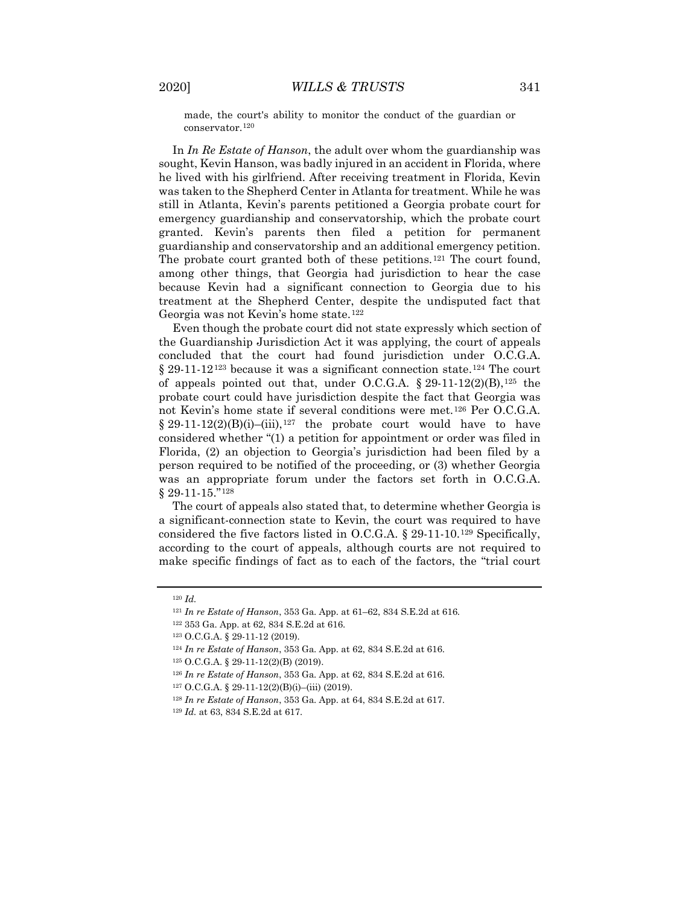made, the court's ability to monitor the conduct of the guardian or conservator[.120](#page-15-0)

In *In Re Estate of Hanson*, the adult over whom the guardianship was sought, Kevin Hanson, was badly injured in an accident in Florida, where he lived with his girlfriend. After receiving treatment in Florida, Kevin was taken to the Shepherd Center in Atlanta for treatment. While he was still in Atlanta, Kevin's parents petitioned a Georgia probate court for emergency guardianship and conservatorship, which the probate court granted. Kevin's parents then filed a petition for permanent guardianship and conservatorship and an additional emergency petition. The probate court granted both of these petitions.<sup>[121](#page-15-1)</sup> The court found, among other things, that Georgia had jurisdiction to hear the case because Kevin had a significant connection to Georgia due to his treatment at the Shepherd Center, despite the undisputed fact that Georgia was not Kevin's home state.[122](#page-15-2)

Even though the probate court did not state expressly which section of the Guardianship Jurisdiction Act it was applying, the court of appeals concluded that the court had found jurisdiction under O.C.G.A.  $\S 29-11-12^{123}$  $\S 29-11-12^{123}$  $\S 29-11-12^{123}$  because it was a significant connection state.<sup>[124](#page-15-4)</sup> The court of appeals pointed out that, under O.C.G.A.  $\S$  29-11-12(2)(B),<sup>[125](#page-15-5)</sup> the probate court could have jurisdiction despite the fact that Georgia was not Kevin's home state if several conditions were met.[126](#page-15-6) Per O.C.G.A.  $§$  29-11-12(2)(B)(i)–(iii),<sup>[127](#page-15-7)</sup> the probate court would have to have considered whether "(1) a petition for appointment or order was filed in Florida, (2) an objection to Georgia's jurisdiction had been filed by a person required to be notified of the proceeding, or (3) whether Georgia was an appropriate forum under the factors set forth in O.C.G.A. § 29-11-15."<sup>[128](#page-15-8)</sup>

The court of appeals also stated that, to determine whether Georgia is a significant-connection state to Kevin, the court was required to have considered the five factors listed in O.C.G.A. § 29-11-10.[129](#page-15-9) Specifically, according to the court of appeals, although courts are not required to make specific findings of fact as to each of the factors, the "trial court

<span id="page-15-2"></span><span id="page-15-1"></span><span id="page-15-0"></span><sup>120</sup> *Id.*

<sup>121</sup> *In re Estate of Hanson*, 353 Ga. App. at 61–62, 834 S.E.2d at 616.

<sup>122</sup> 353 Ga. App. at 62, 834 S.E.2d at 616.

<span id="page-15-3"></span><sup>123</sup> O.C.G.A. § 29-11-12 (2019).

<span id="page-15-4"></span><sup>124</sup> *In re Estate of Hanson*, 353 Ga. App. at 62, 834 S.E.2d at 616.

<span id="page-15-5"></span><sup>125</sup> O.C.G.A. § 29-11-12(2)(B) (2019).

<span id="page-15-6"></span><sup>126</sup> *In re Estate of Hanson*, 353 Ga. App. at 62, 834 S.E.2d at 616.

<span id="page-15-7"></span> $127 \text{ O.C.G.A. }$ § 29-11-12(2)(B)(i)–(iii) (2019).

<span id="page-15-8"></span><sup>128</sup> *In re Estate of Hanson*, 353 Ga. App. at 64, 834 S.E.2d at 617.

<span id="page-15-9"></span><sup>129</sup> *Id.* at 63, 834 S.E.2d at 617.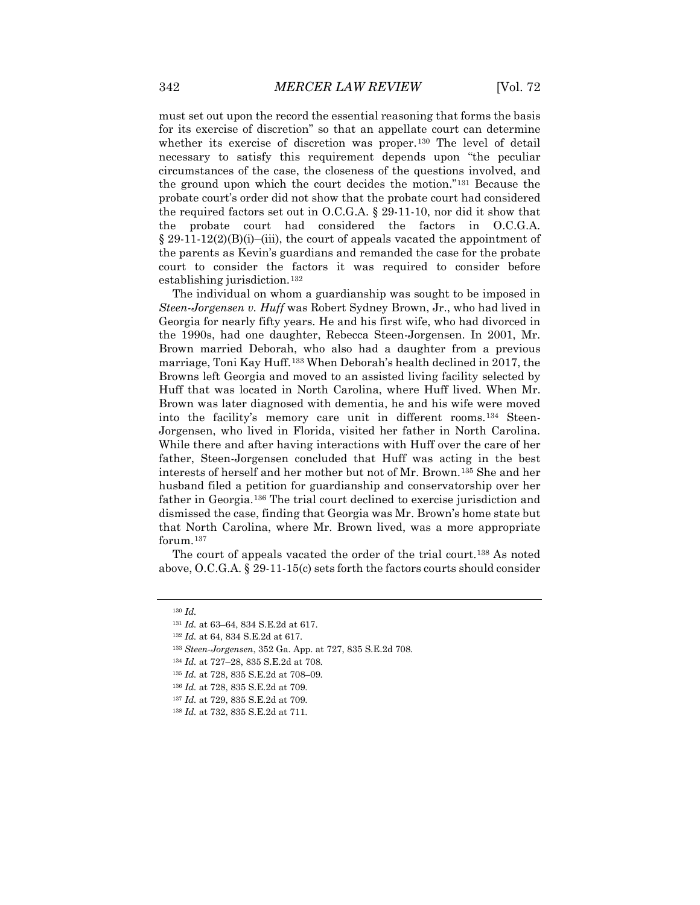must set out upon the record the essential reasoning that forms the basis for its exercise of discretion" so that an appellate court can determine whether its exercise of discretion was proper.<sup>[130](#page-16-0)</sup> The level of detail necessary to satisfy this requirement depends upon "the peculiar circumstances of the case, the closeness of the questions involved, and the ground upon which the court decides the motion."[131](#page-16-1) Because the probate court's order did not show that the probate court had considered the required factors set out in O.C.G.A. § 29-11-10, nor did it show that the probate court had considered the factors in O.C.G.A.  $\S 29-11-12(2)(B)(i)$ –(iii), the court of appeals vacated the appointment of the parents as Kevin's guardians and remanded the case for the probate court to consider the factors it was required to consider before establishing jurisdiction.<sup>[132](#page-16-2)</sup>

The individual on whom a guardianship was sought to be imposed in *Steen-Jorgensen v. Huff* was Robert Sydney Brown, Jr., who had lived in Georgia for nearly fifty years. He and his first wife, who had divorced in the 1990s, had one daughter, Rebecca Steen-Jorgensen. In 2001, Mr. Brown married Deborah, who also had a daughter from a previous marriage, Toni Kay Huff.[133](#page-16-3) When Deborah's health declined in 2017, the Browns left Georgia and moved to an assisted living facility selected by Huff that was located in North Carolina, where Huff lived. When Mr. Brown was later diagnosed with dementia, he and his wife were moved into the facility's memory care unit in different rooms.[134](#page-16-4) Steen-Jorgensen, who lived in Florida, visited her father in North Carolina. While there and after having interactions with Huff over the care of her father, Steen-Jorgensen concluded that Huff was acting in the best interests of herself and her mother but not of Mr. Brown.[135](#page-16-5) She and her husband filed a petition for guardianship and conservatorship over her father in Georgia.[136](#page-16-6) The trial court declined to exercise jurisdiction and dismissed the case, finding that Georgia was Mr. Brown's home state but that North Carolina, where Mr. Brown lived, was a more appropriate forum.[137](#page-16-7)

<span id="page-16-0"></span>The court of appeals vacated the order of the trial court.<sup>[138](#page-16-8)</sup> As noted above, O.C.G.A. § 29-11-15(c) sets forth the factors courts should consider

<span id="page-16-7"></span><sup>137</sup> *Id.* at 729, 835 S.E.2d at 709.

<sup>130</sup> *Id.*

<span id="page-16-2"></span><span id="page-16-1"></span><sup>131</sup> *Id.* at 63–64, 834 S.E.2d at 617.

<sup>132</sup> *Id.* at 64, 834 S.E.2d at 617.

<span id="page-16-3"></span><sup>133</sup> *Steen-Jorgensen*, 352 Ga. App. at 727, 835 S.E.2d 708.

<span id="page-16-4"></span><sup>134</sup> *Id.* at 727–28, 835 S.E.2d at 708.

<span id="page-16-5"></span><sup>135</sup> *Id.* at 728, 835 S.E.2d at 708–09.

<span id="page-16-6"></span><sup>136</sup> *Id.* at 728, 835 S.E.2d at 709.

<span id="page-16-8"></span><sup>138</sup> *Id.* at 732, 835 S.E.2d at 711.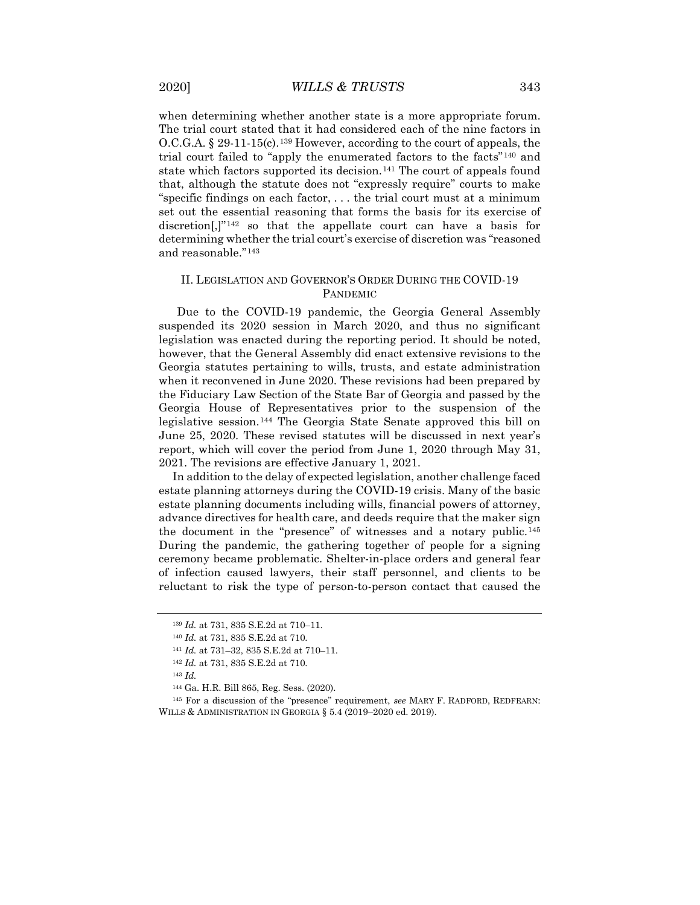when determining whether another state is a more appropriate forum. The trial court stated that it had considered each of the nine factors in O.C.G.A. § 29-11-15(c).[139](#page-17-0) However, according to the court of appeals, the trial court failed to "apply the enumerated factors to the facts"[140](#page-17-1) and state which factors supported its decision.<sup>[141](#page-17-2)</sup> The court of appeals found that, although the statute does not "expressly require" courts to make "specific findings on each factor, . . . the trial court must at a minimum set out the essential reasoning that forms the basis for its exercise of discretion<sup>[1],"[142](#page-17-3)</sup> so that the appellate court can have a basis for determining whether the trial court's exercise of discretion was "reasoned and reasonable."[143](#page-17-4)

#### II. LEGISLATION AND GOVERNOR'S ORDER DURING THE COVID-19 PANDEMIC

Due to the COVID-19 pandemic, the Georgia General Assembly suspended its 2020 session in March 2020, and thus no significant legislation was enacted during the reporting period. It should be noted, however, that the General Assembly did enact extensive revisions to the Georgia statutes pertaining to wills, trusts, and estate administration when it reconvened in June 2020. These revisions had been prepared by the Fiduciary Law Section of the State Bar of Georgia and passed by the Georgia House of Representatives prior to the suspension of the legislative session.[144](#page-17-5) The Georgia State Senate approved this bill on June 25, 2020. These revised statutes will be discussed in next year's report, which will cover the period from June 1, 2020 through May 31, 2021. The revisions are effective January 1, 2021.

In addition to the delay of expected legislation, another challenge faced estate planning attorneys during the COVID-19 crisis. Many of the basic estate planning documents including wills, financial powers of attorney, advance directives for health care, and deeds require that the maker sign the document in the "presence" of witnesses and a notary public.[145](#page-17-6) During the pandemic, the gathering together of people for a signing ceremony became problematic. Shelter-in-place orders and general fear of infection caused lawyers, their staff personnel, and clients to be reluctant to risk the type of person-to-person contact that caused the

<sup>139</sup> *Id.* at 731, 835 S.E.2d at 710–11.

<span id="page-17-1"></span><span id="page-17-0"></span><sup>140</sup> *Id.* at 731, 835 S.E.2d at 710.

<sup>141</sup> *Id.* at 731–32, 835 S.E.2d at 710–11.

<sup>142</sup> *Id.* at 731, 835 S.E.2d at 710.

<sup>143</sup> *Id.*

<sup>144</sup> Ga. H.R. Bill 865, Reg. Sess. (2020).

<span id="page-17-6"></span><span id="page-17-5"></span><span id="page-17-4"></span><span id="page-17-3"></span><span id="page-17-2"></span><sup>145</sup> For a discussion of the "presence" requirement, *see* MARY F. RADFORD, REDFEARN: WILLS & ADMINISTRATION IN GEORGIA § 5.4 (2019–2020 ed. 2019).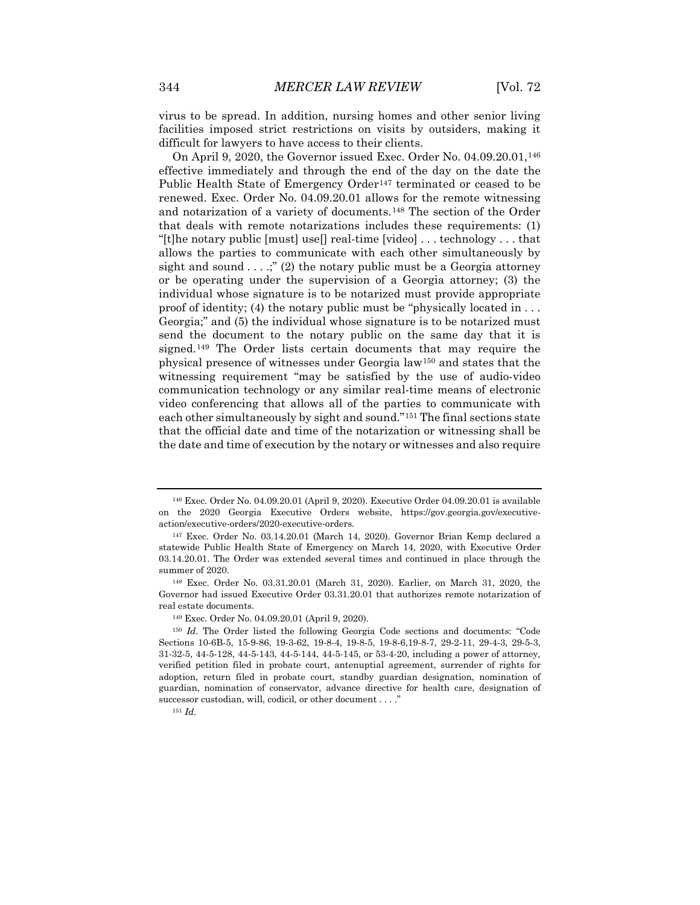virus to be spread. In addition, nursing homes and other senior living facilities imposed strict restrictions on visits by outsiders, making it difficult for lawyers to have access to their clients.

On April 9, 2020, the Governor issued Exec. Order No. 04.09.20.01,[146](#page-18-0) effective immediately and through the end of the day on the date the Public Health State of Emergency Order<sup>[147](#page-18-1)</sup> terminated or ceased to be renewed. Exec. Order No. 04.09.20.01 allows for the remote witnessing and notarization of a variety of documents.[148](#page-18-2) The section of the Order that deals with remote notarizations includes these requirements: (1) "[t]he notary public [must] use[] real-time [video] . . . technology . . . that allows the parties to communicate with each other simultaneously by sight and sound  $\dots$ ;" (2) the notary public must be a Georgia attorney or be operating under the supervision of a Georgia attorney; (3) the individual whose signature is to be notarized must provide appropriate proof of identity; (4) the notary public must be "physically located in . . . Georgia;" and (5) the individual whose signature is to be notarized must send the document to the notary public on the same day that it is signed.[149](#page-18-3) The Order lists certain documents that may require the physical presence of witnesses under Georgia law[150](#page-18-4) and states that the witnessing requirement "may be satisfied by the use of audio-video communication technology or any similar real-time means of electronic video conferencing that allows all of the parties to communicate with each other simultaneously by sight and sound."[151](#page-18-5) The final sections state that the official date and time of the notarization or witnessing shall be the date and time of execution by the notary or witnesses and also require

<span id="page-18-0"></span><sup>146</sup> Exec. Order No. 04.09.20.01 (April 9, 2020). Executive Order 04.09.20.01 is available on the 2020 Georgia Executive Orders website, https://gov.georgia.gov/executiveaction/executive-orders/2020-executive-orders.

<span id="page-18-1"></span><sup>147</sup> Exec. Order No. 03.14.20.01 (March 14, 2020). Governor Brian Kemp declared a statewide Public Health State of Emergency on March 14, 2020, with Executive Order 03.14.20.01. The Order was extended several times and continued in place through the summer of 2020.

<span id="page-18-2"></span><sup>148</sup> Exec. Order No. 03.31.20.01 (March 31, 2020). Earlier, on March 31, 2020, the Governor had issued Executive Order 03.31.20.01 that authorizes remote notarization of real estate documents.

<sup>149</sup> Exec. Order No. 04.09.20.01 (April 9, 2020).

<span id="page-18-4"></span><span id="page-18-3"></span><sup>150</sup> *Id.* The Order listed the following Georgia Code sections and documents: "Code Sections 10-6B-5, 15-9-86, 19-3-62, 19-8-4, 19-8-5, 19-8-6,19-8-7, 29-2-11, 29-4-3, 29-5-3, 31-32-5, 44-5-128, 44-5-143, 44-5-144, 44-5-145, or 53-4-20, including a power of attorney, verified petition filed in probate court, antenuptial agreement, surrender of rights for adoption, return filed in probate court, standby guardian designation, nomination of guardian, nomination of conservator, advance directive for health care, designation of successor custodian, will, codicil, or other document . . . ."

<span id="page-18-5"></span><sup>151</sup> *Id.*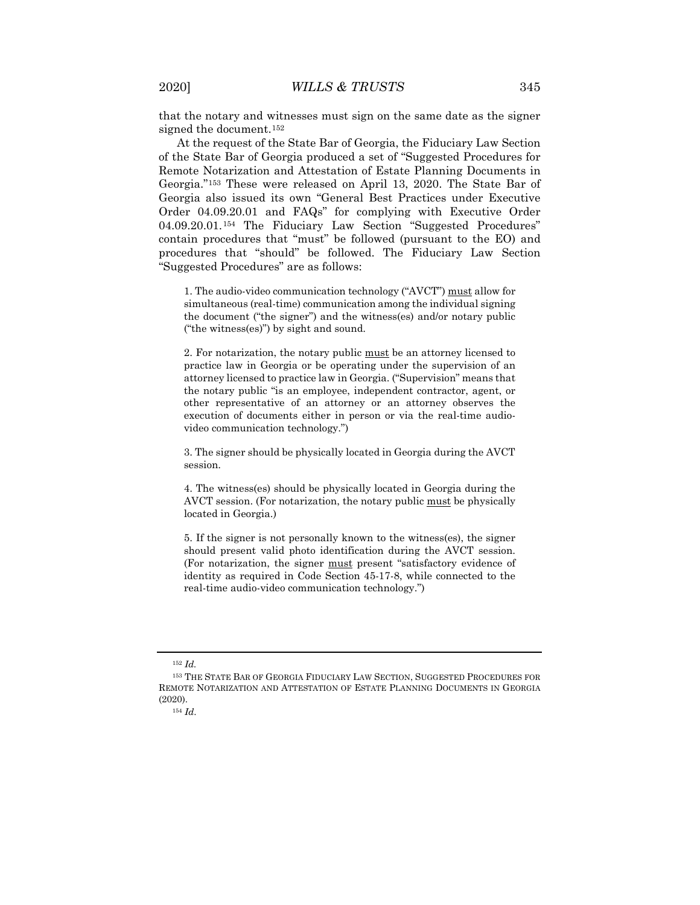that the notary and witnesses must sign on the same date as the signer signed the document.<sup>[152](#page-19-0)</sup>

At the request of the State Bar of Georgia, the Fiduciary Law Section of the State Bar of Georgia produced a set of "Suggested Procedures for Remote Notarization and Attestation of Estate Planning Documents in Georgia."[153](#page-19-1) These were released on April 13, 2020. The State Bar of Georgia also issued its own "General Best Practices under Executive Order 04.09.20.01 and FAQs" for complying with Executive Order 04.09.20.01.[154](#page-19-2) The Fiduciary Law Section "Suggested Procedures" contain procedures that "must" be followed (pursuant to the EO) and procedures that "should" be followed. The Fiduciary Law Section "Suggested Procedures" are as follows:

1. The audio-video communication technology ("AVCT") must allow for simultaneous (real-time) communication among the individual signing the document ("the signer") and the witness(es) and/or notary public ("the witness(es)") by sight and sound.

2. For notarization, the notary public must be an attorney licensed to practice law in Georgia or be operating under the supervision of an attorney licensed to practice law in Georgia. ("Supervision" means that the notary public "is an employee, independent contractor, agent, or other representative of an attorney or an attorney observes the execution of documents either in person or via the real-time audiovideo communication technology.")

3. The signer should be physically located in Georgia during the AVCT session.

4. The witness(es) should be physically located in Georgia during the AVCT session. (For notarization, the notary public must be physically located in Georgia.)

5. If the signer is not personally known to the witness(es), the signer should present valid photo identification during the AVCT session. (For notarization, the signer must present "satisfactory evidence of identity as required in Code Section 45-17-8, while connected to the real-time audio-video communication technology.")

<sup>152</sup> *Id.*

<span id="page-19-2"></span><span id="page-19-1"></span><span id="page-19-0"></span><sup>153</sup> THE STATE BAR OF GEORGIA FIDUCIARY LAW SECTION, SUGGESTED PROCEDURES FOR REMOTE NOTARIZATION AND ATTESTATION OF ESTATE PLANNING DOCUMENTS IN GEORGIA (2020).

<sup>154</sup> *Id*.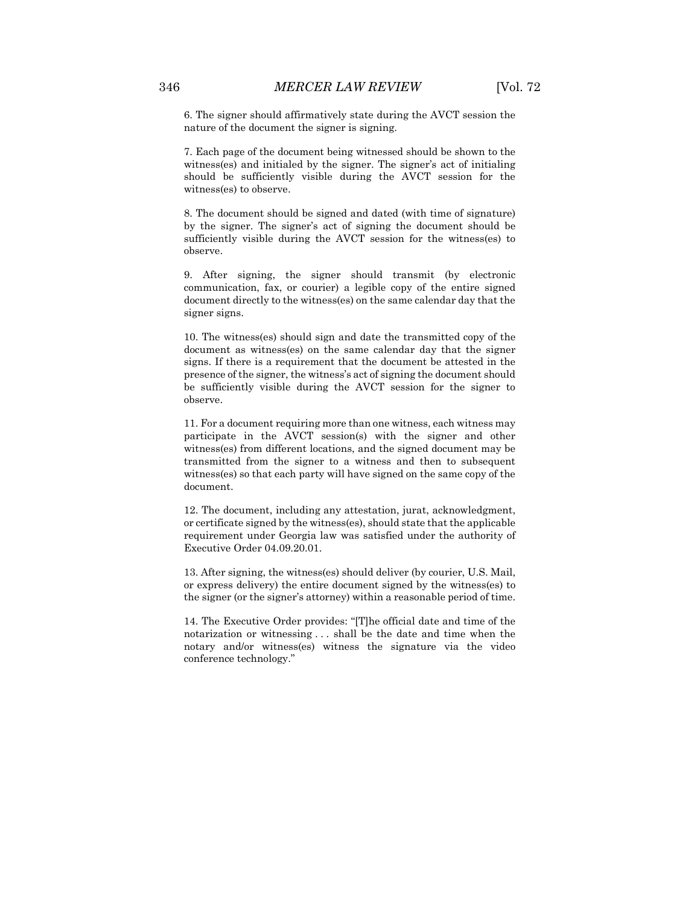6. The signer should affirmatively state during the AVCT session the nature of the document the signer is signing.

7. Each page of the document being witnessed should be shown to the witness(es) and initialed by the signer. The signer's act of initialing should be sufficiently visible during the AVCT session for the witness(es) to observe.

8. The document should be signed and dated (with time of signature) by the signer. The signer's act of signing the document should be sufficiently visible during the AVCT session for the witness(es) to observe.

9. After signing, the signer should transmit (by electronic communication, fax, or courier) a legible copy of the entire signed document directly to the witness(es) on the same calendar day that the signer signs.

10. The witness(es) should sign and date the transmitted copy of the document as witness(es) on the same calendar day that the signer signs. If there is a requirement that the document be attested in the presence of the signer, the witness's act of signing the document should be sufficiently visible during the AVCT session for the signer to observe.

11. For a document requiring more than one witness, each witness may participate in the AVCT session(s) with the signer and other witness(es) from different locations, and the signed document may be transmitted from the signer to a witness and then to subsequent witness(es) so that each party will have signed on the same copy of the document.

12. The document, including any attestation, jurat, acknowledgment, or certificate signed by the witness(es), should state that the applicable requirement under Georgia law was satisfied under the authority of Executive Order 04.09.20.01.

13. After signing, the witness(es) should deliver (by courier, U.S. Mail, or express delivery) the entire document signed by the witness(es) to the signer (or the signer's attorney) within a reasonable period of time.

14. The Executive Order provides: "[T]he official date and time of the notarization or witnessing . . . shall be the date and time when the notary and/or witness(es) witness the signature via the video conference technology."